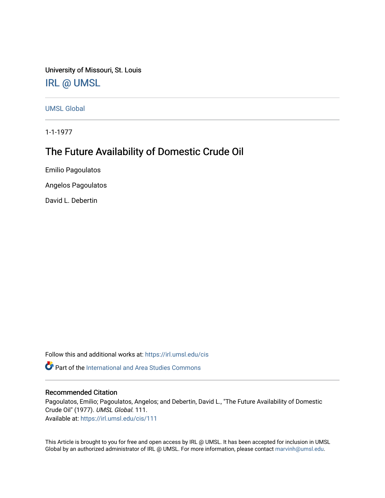University of Missouri, St. Louis [IRL @ UMSL](https://irl.umsl.edu/) 

[UMSL Global](https://irl.umsl.edu/cis)

1-1-1977

# The Future Availability of Domestic Crude Oil

Emilio Pagoulatos

Angelos Pagoulatos

David L. Debertin

Follow this and additional works at: [https://irl.umsl.edu/cis](https://irl.umsl.edu/cis?utm_source=irl.umsl.edu%2Fcis%2F111&utm_medium=PDF&utm_campaign=PDFCoverPages) 

**P** Part of the International and Area Studies Commons

# Recommended Citation

Pagoulatos, Emilio; Pagoulatos, Angelos; and Debertin, David L., "The Future Availability of Domestic Crude Oil" (1977). UMSL Global. 111.

Available at: [https://irl.umsl.edu/cis/111](https://irl.umsl.edu/cis/111?utm_source=irl.umsl.edu%2Fcis%2F111&utm_medium=PDF&utm_campaign=PDFCoverPages)

This Article is brought to you for free and open access by IRL @ UMSL. It has been accepted for inclusion in UMSL Global by an authorized administrator of IRL @ UMSL. For more information, please contact [marvinh@umsl.edu](mailto:marvinh@umsl.edu).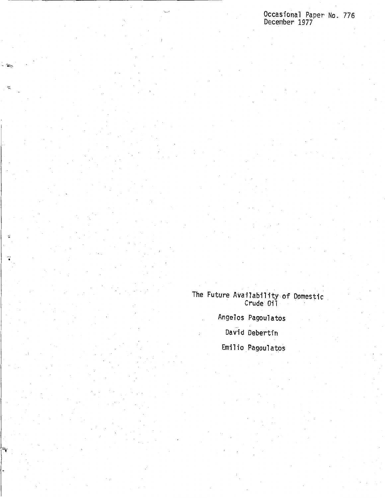# Occasional Paper No. 776 December 1977

The Future Availability of Domestic **Crude** Oil Angelos Pagoulatos

-~

Ł

David Debertin

Emilio Pagoulatos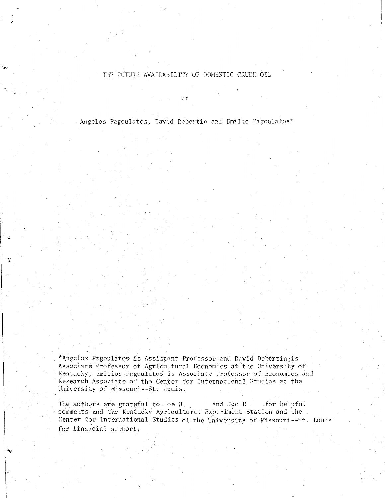# THE FUTURE AVAILABILITY OF DOMESTIC CRUDE OIL

BY

Angelos Pagoulatos, David Debertin and Emilio Pagoulatos\*

\*Angelos Pagoulatos is Assistant Professor and David Dehertin\_;is Associate Professor of Agricultural Economics at the University of Kentucky; Emilios Pagoulatos is Associate Professor of Economics and Research Associate of the Center for International Studies at the University of Missouri--St. Louis.

<u>ີສ</u>

 $\left| \begin{matrix} 1 \\ 1 \end{matrix} \right|$ 

The authors are grateful to Joe H<sub>-1</sub> and Joe D for helpful comments and the Kentucky Agricultural Experiment Station and the Center for International Studies of the University of Missouri--St. Louis for financial support.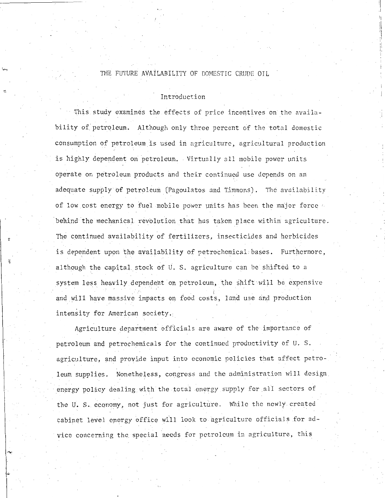# THE FUTURE AVAILABILITY OF DOMESTIC CRUDE OIL

### Introduction

This study examines the effects of price incentives on the availability of petroleum. Although only three percent of the total domestic consumption of petroleum is used in agriculture, agricultural production is highly dependent on petroleum. Virtually all mobile power units operate on petroleum products and their continued use depends on an adequate supply of petroleum (Pagoulatos and Timmons). The availability of low cost energy to fuel mobile power units has been the major force behind the mechanical revolution that has taken place within agriculture. The cohtinued availability of fertilizers, insecticides and herbicides is dependent upon the availability of petrochemical bases. Furthermore, although the capital stock of U. S. agriculture can be shifted to a system less heavily dependent on petroleum, the shift will be expensive and will have massive impacts on food costs, land use and production intensity for American society.

Agriculture department. officials are aware of the importance of petroleum and petrochemicals for the continued productivity of U. S. agriculture, and provide input into economic policies that affect petroleum supplies. Nonetheless, congress and the administration will design. energy policy dealing with the total energy supply for all sectors of the U.S. economy, not just for agriculture. While the newly created cabinet level energy office will look to agriculture officials for advice concerning the special needs for petroleum in agriculture, this

I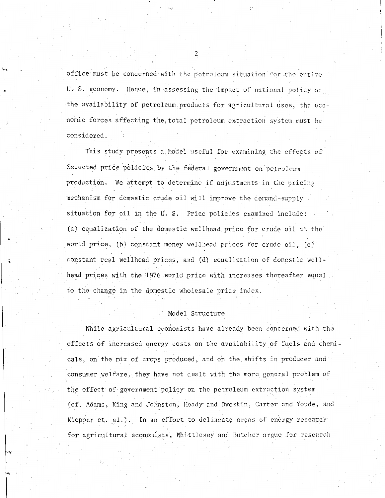office must be concerned with the petroleum situation for the entire U. S. economy. Hence, in assessing the impact of national policy on the availability of petroleum products for agricultural uses, the economic forces affecting the total petroleum extraction system must be considered.

This study presents a model useful for examining the effects of Selected price policies by the federal government on petroleum production. We attempt to determine if adjustments in the pricing mechanism for domestic crude oil will improve the demand-supply situation for oil in the 0. S. Price policies examined include: (a) equalization of the domestic wellhead price for crude oil at the world price, (b) constant money wellhead prices for crude oil, (c) constant real wellhead prices, and (d) equalization of domestic wellhead prices with the 1976 world price with increases thereafter equal to the change in the domestic wholesale price index.

### Model Structure

While agricultural economists have a1ready been concerned with the effects of increased energy costs on the availability of fuels and chemicals, on the mix of crops produced, and on the shifts in producer and consumer welfare, they have not dealt with the more general problem of the effect of government policy on the petroleum extraction system (cf. Adams, King and Johnston, Heady and Dvoskin, Carter and Youde, and Klepper et.  $a1.$ ). In an effort to delineate areas of energy research for agricultural economists, Whittlesey and Butcher argue for research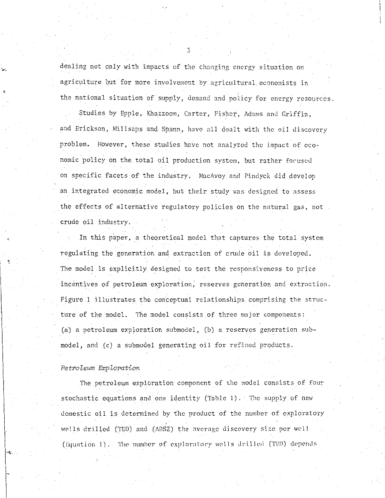dealing not only with impacts of the changing energy situation on agriculture but for more involvement by agricultural economists in the national situation of supply, demand and policy for energy resources.

Studies by Epple, Khazzoom, Carter, Fisher, Adams and Griffin, and Erickson, Millsaps and Spann, have all dealt with the oil discovery problem. However, these studies have not analyzed the impact of economic policy on the total oil production system, but rather focused on specific facets of the industry. MacAvoy and Pindyck did develop an integrated economic model, but their study was designed to assess the effects of alternative regulatory policies on the natural gas, not crude oil industry.

In this paper, a theoretical model that captures the total system regulating the generation and extraction of crude oil is developed. The model is explicitly designed to test the responsiveness to price incentives of petroleum exploration; reserves generation and extraction. Figure 1 illustrates the conceptual relationships comprising the structure of the model. The model consists of three major components: (a) a petroleum exploration submodel, (b) a reserves generation submodel, and (c) a submodel generating oil for refined products.

### *Petrolewn Exploration*

:

~·-

The petroleum exploration component of the model consists of four stochastic equations and one identity (Table 1). The supply of new domestic oil is determined by the product of the number of exploratory wells drilled (TED) and (ADSZ) the average discovery size per well (Equation 1). The number of exploratory wells drilled (TED) depends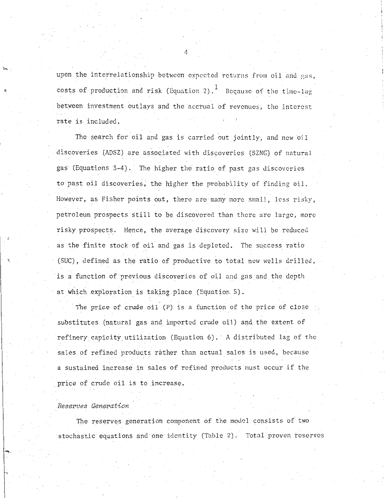upon the interrelationship between expected returns from oil and gas, costs of production and risk (Equation 2).  $<sup>1</sup>$  Because of the time-lag</sup> between investment outlays and the accrual of revenues, the interest rate is included.

The search for oil and gas is carried out jointly, and new oil discoveries (ADSZ) are associated with discoveries (SZNG) of natural gas (Equations 3-4). The higher the ratio of past gas discoveries to past oil discoveries; the higher the probability of finding oil. However, as Fisher points out, there are many more small, less risky, petroleum prospects still to be discovered than there arc large, more risky prospects. Hence, the average discovery size will be reduced as the finite stock of oil and gas is depleted. The success ratio (SUC), defined as the ratio of productive to total new wells drilled, is a function of previous discoveries of oil and gas and the depth at which exploration is taking place (Equation 5).

The price of crude oil (P) is a function of the price of close substitutes (natural gas and imported crude oil) and the extent of refinery capicity utilization (Equation 6). A distributed lag of the sales of refined products rather than actual sales is used, because a sustained increase in sales of refined products must occur if the price of crude oil is to increase.

### *Reserves Generation*

The reserves generation component of the model consists of two stochastic equations and one identity (Table 2). Total proven reserves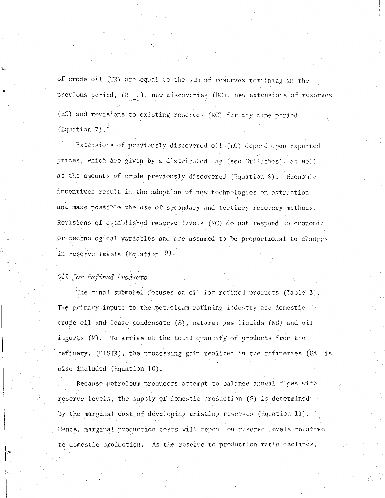of crude oil (TR) are equal to the sum of reserves remaining in the previous period,  $(R_{t-1})$ , new discoveries (DC), new extensions of reserves (EC) and revisions to existing reserves (RC) for any time perio<l (Equation 7). $<sup>2</sup>$ </sup>

Extensions of previously discovered oil (EC) depend upon expected prices, which are given by a distributed lag (sec Griliches), as well as the amounts of crude previously discovered (Equation 8). Economic incentives result in the adoption of new technologies on extraction and make possible the use of secondary and tertiary recovery methods. Revisions of established reserve levels (RC) do not respond to economic or technological variables and are assumed to be proportional to changes in reserve levels (Equation  $9$ ).

*Oil for Refined P1•oducts* 

. . -

The final submodel focuses on oil for refined products (Table 3). The primary inputs to the.petroleum refining industry arc domestic crude oil and lease condensate (SJ, natural gas liquids (NG) and oil imports (M). To arrive at the total quantity of products from the refinery, (DISTR), the processing gain realized in the refineries (GA) is also included (Equation 10).

Because petroleum producers attempt to balance annual flows with reserve levels, the supply of domestic production (S) is determined by the marginal cost of developing existing reserves (Equation 11). Hence, marginal production costs will depend on reserve levels relative to domestic production. ·As.the rcseive to production ratio declines,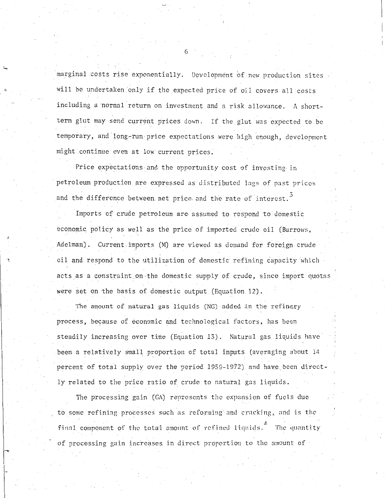marginal costs rise exponentially. Development of new production sites will be undertaken only if the expected price of oil covers all costs including a normal return on investment and a risk allowance. A shortterm glut may send current prices down. If the glut was expected to be temporary, and long-run price expectations were high enough, development might continue even at low current prices.

Price expectations and the opportunity cost of investing in petroleum production are expressed as distributed lags of past prices and the difference between net price and the rate of interest.

Imports of crude petroleum are assumed to respond to domestic economic policy as well as the price of imported crude oil (Burrows, Adelman). Current.imports (M) are viewed as demand for foreign crude oil and respond to the utilization of domestic refining capacity which acts as a constraint on the domestic supply of crude, since import quotas were set on the basis of domestic output (Equation 12).

The amount of natural gas liquids (NG) added in the refinery process, because of economic and technological factors, has been steadily increasing over time (Equation 13). Natural gas liquids have been a relatively small proportion of total inputs (averaging about 14 percent of total supply over the period 1959-1972) and have been directly related to the price ratio of crude to natural gas liquids.

The processing gain (GA) represents the expansion of fuels due to some refining processes such as reforming and cracking, and is the final component of the total amount of refined liquids.<sup>4</sup> The quantity of processing gain increases in direct proportion to the amount of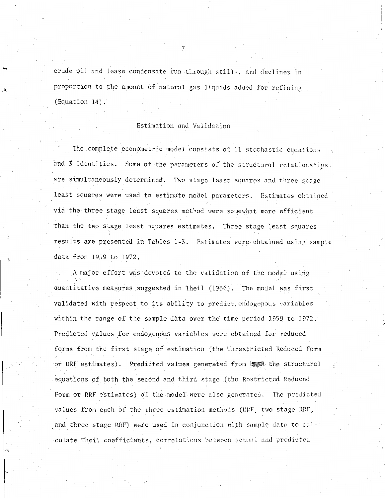crude oil and lease condensate run through stills, and declines in proportion to the amount of natural gas liquids added for refining (Equation 14).

# Estimation and Validation

The complete econometric model consists of 11 stochastic equations and 3 identities. Some of the parameters of the structural relationships. are simultaneously determined. Two stage least squares and three stage least squares were used to estimate model parameters. Estimates obtained via the three stage least squares method were somewhat more efficient than the two stage least squares estimates. Three stage least squares results are presented in Tables 1-3. Estimates were obtained using sample data from 1959 to 1972.

\_A major effort was devoted to the validation of the model using quantitative measures suggested in Theil (1966). The model was first validated with respect to its ability to predict endogenous variables within the range of the sample data over the time period 1959 to 1972. Predicted values for endogenous variables were obtained for reduced forms from the first stage of estimation (the Unrestricted Reduced Form or URF estimates). Predicted values generated from to the structural equations of both the second and third stage (the Restricted Reduced Form or RRF estimates) of the model were also generated. The predicted values from each of the three estimation methods (URF, two stage RRF, and three stage RRF) were used in conjunction with sample data to cal-culate Theil coefficients, correlations between actual and predicted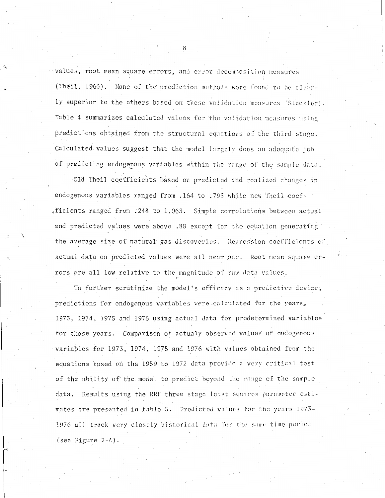values, root mean square errors, and error decomposition measures (Theil, 1966). None of the prediction methods were found to be clearly superior to the others based on these validation measures (Steckler). Table 4 summarizes calculated values for the validation measures using predictions obtained from the structural equations of the third stage. Calculated values suggest that the model largely does an adequate job of predicting endogenous variables within the range of the sample data.

Old Theil coefficients based on predicted and realized changes in endogenous variables ranged from .164 to .793 while new Theil coefficients ranged from .248 to 1.063. Simple correlations between actual and predicted values were above .88 except for the equation generating the average size of natural gas discoveries. Regression coefficients of actual data on predicted values were all near one. Root mean square errors are all low relative to the magnitude of raw data values.

To further scrutinize the model's efficacy as a predictive device; predictions for endogenous variables were calculated for the years, 1973, 1974, 1975 and 1976 using actual data for predetermined variables for those years. Comparison of actualy observed values of endogenous variables for 1973, 1974, 1975 and 1976 with values obtained from the equations based on the 1959 to 1972 data provide a very critical test of the ability of the model to predict beyond the range of the sample data. Results using the RRF three stage least squares parameter estimates are presented in table 5. Predicted values for the years 1973-1976 all track very closely historical data for the same time period  $(see Figure 2-4).$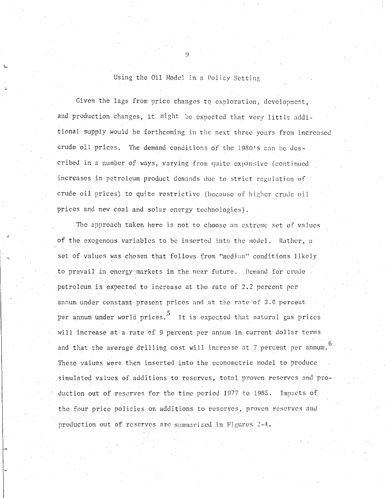Using the Oil Model in a Policy Setting

Given the lags from price changes to exploration, development, and production changes, it might be expected that very little additional supply would be forthcoming in the next three years from increased crude oil prices. The demand conditions of the 1980's can be described in a number of ways, varying from quite expansive (continued increases in petroleum product demands due to strict regulation of crude oil prices) to quite restrictive (because of higher crude oil prices and new coal and solar energy technologies).

The approach taken here is not to choose an extreme set of values of the exogenous variables to be inserted into the model. Rather, a set of values was chosen that follows from "median" conditions likely to prevail in energy markets in the near future. Demand for crude petroleum is expected to increase at the rate of 2.2 percent per annum under constant present prices and at the rate of 2.0 percent per annum under world prices.<sup>5</sup> It is expected that natural gas prices will increase at a rate of 9 percent per annum in current dollar terms and that the average drilling cost will increase at 7 percent per annum.<sup>6</sup> These values were then inserted into the econometric model to produce simulated values of additions to reserves, total proven reserves and production out of reserves for the time period 1977 to 1985. Impacts of the four price policies on additions to reserves, proven reserves and production out of reserves are summarized in Figures 2-4.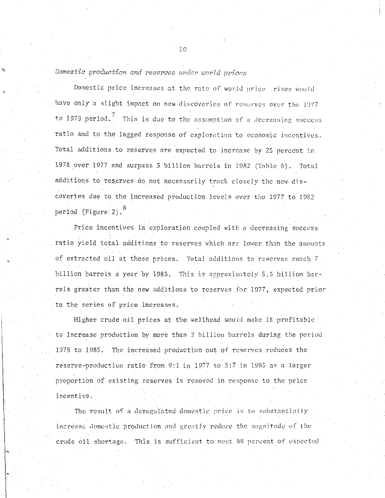# *Domestic production and reserves under world prices*

Domestic price increases at the rate of world price rises would have only a slight impact on new discoveries of reserves over the 1977 to 1979 period.<sup>7</sup> This is due to the assumption of a decreasing success ratio and to the lagged response of exploration to economic incentives. Total additions to reserves are expected to increase by 25 percent in 1978 over 1977 and surpass 3 billion barrels in 1982 (Table 6). Total additions to reserves do not necessarily track closely the new-discoveries due to the increased production levels over the 1977 to 1982 period (Figure 2). $^8$ 

Price incentives in exploration coupled with a decreasing success ratio yield total additions to reserves which are lower than the amounts of extracted oil at these prices. Total additions to reserves reach 7 billion barrels a year by 1985. This is approximately 5.5 billion barrels greater than the new additions to reserves for 1977, expected prior to the series of price increases.

Higher crude oil prices at the wellhead would make it profitable to increase production by more than 2 billion barrels during the period 1978 to 1985. The increased production out of reserves reduces the reserve-production ratio from 9:1 in 1977 to 3:7 in 1985 as a larger proportion of existing reserves is removed in response to the price incentive.

The result of a deregulated domestic price is to substantially increase domestic production and greatly reduce the magnitude of the crude oil shortage. This is sufficient to meet 88 percent of expected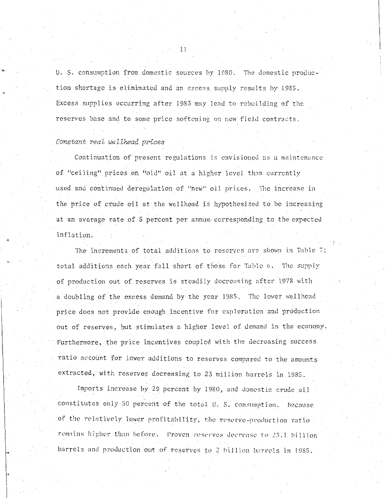U. S. consumption from domestic sources hy 1980. The domestic production shortage is eliminated and an excess supply results by 1985. Excess supplies occurring after 1983 may 1ead to rebuilding of the reserves base and to some price softening on new field contracts.

### *Constant real wellhead prices*

Continuation of present regulations is envisioned as a maintenance of "ceiling" prices .on ''old'' oil at a higher level than currently used and continued deregulation of "new" oil prices. The increase in the price of crude oil at the wellhead is hypothesized to be increasing at an average rate of 5 percent per annum corresponding to the expected inflation.

The increments of total additions to reserves are shown in Table 7; total additions each year fall short of those for Table 6. The supply of production out of reserves is steadily decreasing after 1978 with a doubling of the excess demand by the year 1985. The lower wellhead price does not provide enough incentive for exp1oration and production out of reserves, but stimulates a higher level of demand in the economy. Furthermore, the price incentives coupled with the decreasing success ratio account for lower additions to reserves compared to the amounts. extracted, with reserves decreasing to 23 million barrels in 1985.

Imports increase by 29 percent by 1980, and domestic crude oil constitutes only 50 percent of the total U.S. consumption. Because of the relatively lower profitability, the reserve-production ratio remains higher than before. Proven reserves decrease to 23.1 billion barrels and production out of reserves to 2 billion barrels in 1985.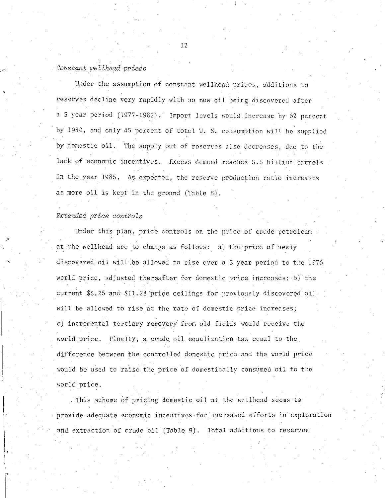#### *Constant wellhead prices*

Under the assumption of constant wellhead prices, additions to reserves decline very rapidly with no new oil being discovered after a 5 year period (1977-1982). Import levels would increase by 62 percent by 1980, and only 45 percent of total U. S. consumption will be supplied by domestic oil. The supply out of reserves also decreases, due to the lack of economic incentives. Excess demand reaches 5.5 billion barrels in the year 1985. As expected, the reserve production ratio increases as more oil is kept in the ground (Table 8).

### *Extended price controls*

Under this plan, price controls on the price of crude petroleum at the wellhead are to change as follows: a) the price of newly discovered oil will be allowed to rise over a  $3$  year period to the 1976 world price, adjusted thereafter for domestic price increases; b) the current \$5.25 and \$11.28 price ceilings for previously discovered oil will be allowed to rise at the rate of domestic price increases; c) incremental tertiary recovery from old fields would receive the world price. Finally, a crude oil equalization tax equal to the difference between the controlled domestic price and the world price would be used to raise the price of domestically consumed oil to the world price.

This scheme of pricing domestic oil at the wellhead seems to provide adequate economic incentives for increased efforts in exploration and extraction of crude oil (Table 9). Total additions to reserves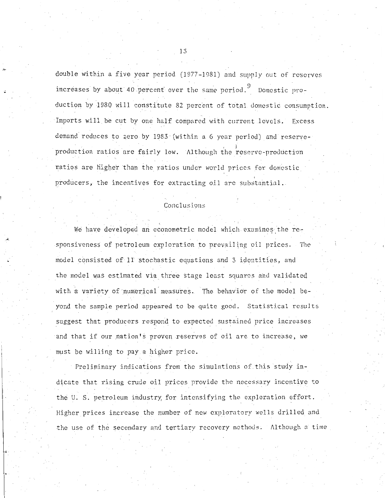double within a five year period (1977-1981) and supply out of reserves increases by about 40 percent over the same period. 9 Domestic production by 1980 will constitute 82 percent of total domestic consumption. Imports will be cut by one half compared with current levels. Excess demand reduces to zero by 1983 (within a 6 year period) and reserveproduction ratios are fairly low. Although the reserve-production ratios are higher than the ratios under world prices for domestic producers, the incentives for extracting oil arc substantial.

### Conclusions

We have developed an econometric model which examines the responsiveness of petroleum exploration to prevailing oil prices. The model consisted of 11 stochastic equations and 3 identities, and the model was estimated via three stage least squares and validated with a variety of numerical measures. The behavior of the model beyond the sample period appeared to be quite good. Statistical results suggest that producers respond to expected sustained price increases. and that if our nation's proven reserves of oil are to increase, we must be willing to pay a higher price.

Preliminary indications from the simulations of.this study indicate that rising crude oil prices provide the necessary incentive to the U. S. petroleum industry; for intensifying tho exploration effort. Higher prices increase the number of new exploratory wells drilled and the use of the secondary and tertiary recovery methods. Although a time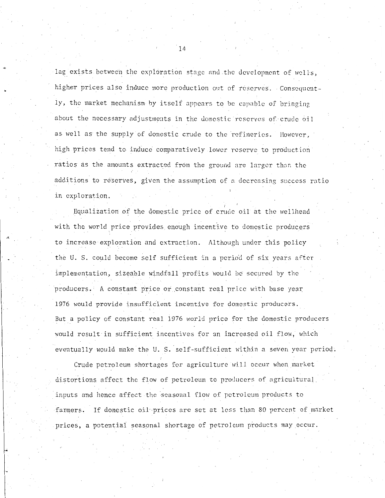lag exists between the exploration stage and the development of wells, higher prices also induce more production out of reserves. Consequently, the market mechanism by itself appears to be capable of bringing about the necessary adjustments in the domestic reserves of crude oil as well as the supply of domestic crude to the refineries. However, high prices tend to induce comparatively lower reserve to production ratios as the amounts extracted from the ground are larger than the additions to reserves, given the assumption of a decreasing success ratio in exploration.

Equalization of the domestic price of crude oil at the wellhead with the world price provides enough incentive to domestic producers to increase exploration and extraction. Although under this policy the U.S. could become self sufficient in a period of six years after implementation, sizeable windfall profits would be secured by the producers. A constant price or constant real price with base year 1976 would provide insufficient incentive for domestic producers. But a policy of constant real 1976 world price for the domestic producers would result in sufficient incentives for an increased oil flow, which eventually would make the U.S. self-sufficient within a seven year period.

Crude petroleum shortages for agriculture will occur when market distortions affect the flow of petroleum to producers of agricultural. inputs and hence affect the seasonal flow of petroleum products to farmers. If domestic oil prices are set at less than 80 percent of market prices, a potential seasonal shortage of petroleum products may occur.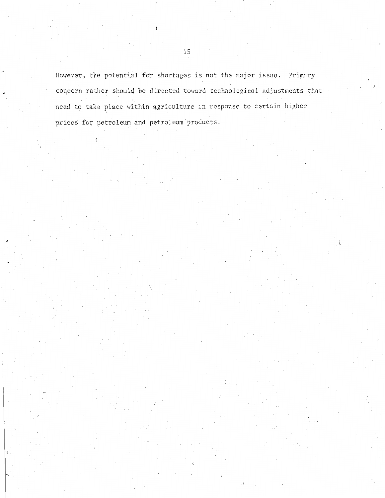However, the potential for shortages is not the major issue. Primary concern rather should be directed toward technological adjustments that need to take place within agriculture in response to certain higher prices for petroleum and petroleum products.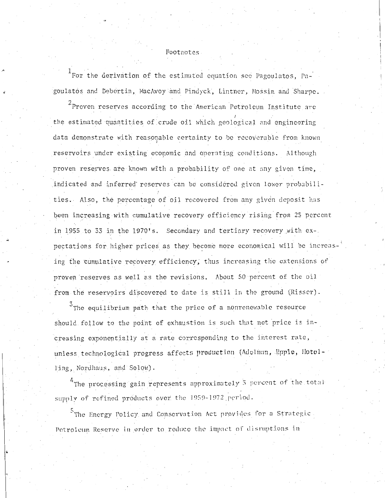### Footnotes.

 $1$  For the derivation of the estimated equation see Pagoulatos, Pagoulatos and Debertin, MacAvoy and Pindyck, Lintner, Mossin and Sharpe.

 $^2$ Proven reserves according to the American Petroleum Institute arc the estimated quantities of crude oil which geological and engineering data demonstrate with reasonable certainty to be recoverable from known reservoirs under existing economic and operating conditions. Although proven reserves are known with a probability of one at any given time, indicated and inferred reserves can be considered given lower probabilities. Also, the percentage of oil recovered from any given deposit has been increasing with cumulative recovery efficiency rising.from 25 percent in 1955 to 33 in the 1970's. Secondary and tertiary recovery with ex-. pectations for higher prices as they become more economical will be increasing the cumulative recovery efficiency, thus increasing the extensions of proven reserves as well as the revisions. About 50 percent of the oil from the reservoirs discovered to date is still in the ground (Risser).

 $3$ The equilibrium path that the price of a nonrenewable resource should follow to the point of exhaustion is such that net price is increasing exponentially at a rate corresponding to the interest rate, unless technological progress affects production (Adelman, Epple, Hotelling, Nordhaus, and Solow).

<sup>4</sup>The processing gain represents approximately <sup>3</sup> percent of the total supply of refined products over the 1959-1972 period.

<sup>5</sup>The Energy Policy and Conservation Act provides for a Strategic Petroleum Reserve in order to reduce the impact of disruptions in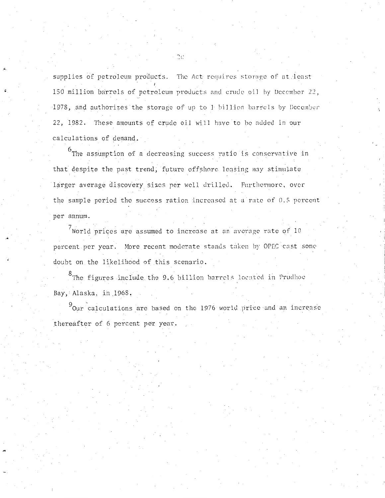supplies of petroleum products. The Act requires storage of at least 150 million barrels of petroleum products and crude oil by December 22, 1978, and authorizes the storage of up to I billion barrels by December 22, 1982. These amounts of crude oil will have to be added in our calculations of demand.

<sup>6</sup>The assumption of a decreasing success ratio is conservative in that despite the past trend, future offshore leasing may stimulate larger average discovery sizes per well drilled. Furthermore, over the sample period the success ration increased at a rate of 0.5 percent per annum.

 $7$ World prices are assumed to increase at an average rate of 10 percent per year. More recent moderate stands taken by OPEC cast some doubt on the likelihood of this scenario.

<sup>8</sup>The figures include the 9.6 billion barrels located in Prudhoe Bay, Alaska, in 1968.

 $^{9}$ Our calculations are based on the 1976 world price and an increase thereafter of 6 percent per year.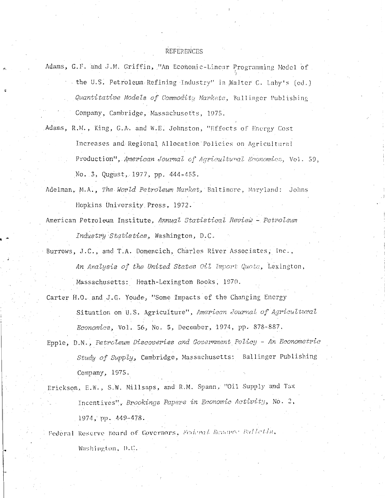#### REFERENCES

- Adams, G.F. and J.M. Griffin, "An Economic-Linear Programming Model of the U.S. Petroleum Refining Industry" in Walter C. Laby's (ed.) Quantitative Models of Commodity Markets, Ballinger Publishing Company, Cambridge, Massachusetts, 1975.
- Adams, R.M., King, G.A. and W.E. Johnston, "Effects of Energy Cost Increases and Regional Allocation Policies on Agricultural Production", American Journal of Agricultural Economics, Vol. 59, No. 3, Qugust, 1977, pp. 444-455.
- Adelman, M.A., The World Petroleum Market, Baltimore, Maryland: Johns Hopkins University Press, 1972.
- American Petroleum Institute, Annual Statistical Review Petroleum Industry Statistics, Washington, D.C.
- Burrows, J.C., and T.A. Domencich, Charles River Associates, Inc., An Analysis of the United States Oil Import Quota, Lexington, Massachusetts: Heath-Lexington Books, 1970.
- Carter H.O. and J.G. Youde, "Some Impacts of the Changing Energy Situation on U.S. Agriculture", American Journal of Agricultural Economics, Vol. 56, No. 5, December, 1974, pp. 878-887,
- Epple, D.N., Petroleum Discoveries and Government Policy An Econometric Study of Supply, Cambridge, Massachusetts: Ballinger Publishing Company, 1975.
- Erickson, E.W., S.W. Millsaps, and R.M. Spann, "Oil Supply and Tax Incentives", Brookings Papers in Economic Activity, No. 2, 1974, pp. 449-478.

Federal Reserve Board of Governors, Federal Reserve Bulletin, Washington, D.C.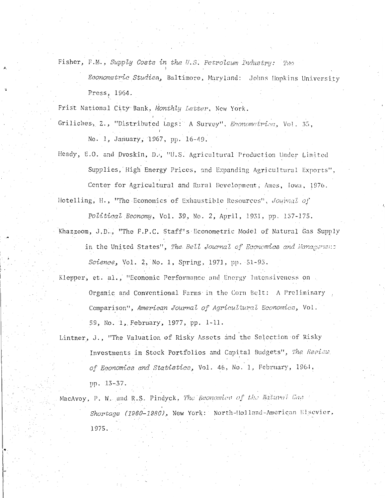Fisher, F.M., Supply Costs in the U.S. Petroleum Industry: Two

Econometric Studies, Baltimore, Maryland: Johns Hopkins University Press, 1964.

Frist National City Bank, Monthly Letter, New York.

Griliches, Z., "Distributed Lags: A Survey", Econometrica, Vol. 35, No. 1, January, 1967, pp. 16-49.

Heady, E.O. and Dvoskin, D., "U.S. Agricultural Production Under Limited Supplies, High Energy Prices, and Expanding Agricultural Exports", Center for Agricultural and Rural Development, Ames, Iowa, 1976. Hotelling, H., "The Economics of Exhaustible Resources", Journal of

Political Economy, Vol. 39, No. 2, April, 1931, pp. 157-175.

- Khazzoom, J.D., "The F.P.C. Staff's Econometric Model of Natural Gas Supply in the United States", The Bell Journal of Economics and Management Science, Vol. 2, No. 1, Spring, 1971, pp. 51-93.
- Klepper, et. al., "Economic Performance and Energy Intensiveness on Organic and Conventional Farms in the Corn Belt: A Preliminary Comparison", American Journal of Agricultural Economics, Vol. 59, No. 1, February, 1977, pp. 1-11.
- Lintner, J., "The Valuation of Risky Assets and the Selection of Risky Investments in Stock Portfolios and Capital Budgets", The Review. of Economics and Statistics, Vol. 46, No. 1, February, 1964, pp. 13-37.
- MacAvoy, P. W. and R.S. Pindyck, The Economics of the Natural Gas Shortage (1960-1980), New York: North-Holland-American Elsevier, 1975.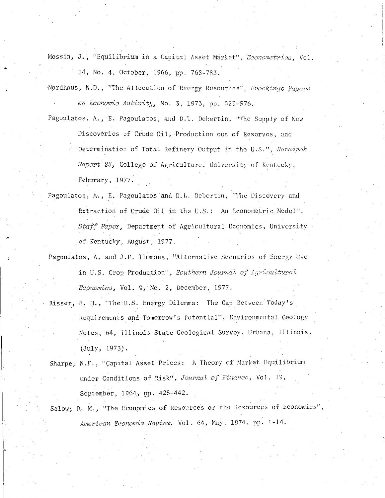Mossin, J., "Equilibrium in a Capital Asset Market", Econometrica, Vol. 34, No. 4, October, 1966, pp. 768-783.

Nordhaus, W.D., "The Allocation of Energy Resources", *Erookings Papers* on Economic Activity, No. 3, 1973, pp. 529-576.

Pagoulatos, A., E. Pagoulatos, and D.L. Debertin, "The Supply of New Discoveries of Crude 0il, Production out of Reserves, and Determination of Total Refinery Output in the U.S.", Research Report 28, College of Agriculture, University of Kentucky, Feburary, 1977.

Pagoulatos, A., E. Pagoulatos and D.L. Debertin, "The Discovery and Extraction of Crude Oil in the U.S.: An Econometric Model", Staff Paper, Department of Agricultural Economics, University of Kentucky, August, 1977.

Pagoulatos, A. and J.F. Timmons, "Alternative Scenarios of Energy Use in U.S. Crop Production", Southern Journal of Agricultural Economics, Vol. 9, No. 2, December, 1977.

- Risser, E. H., "The U.S. Energy Dilemma: The Gap Between Today's Requirements and Tomorrow's Potential", Environmental Geology Notes, 64, Illinois State Geological Survey, Urbana, Illinois,  $(July, 1973).$
- Sharpe, W.F., "Capital Asset Prices: A Theory of Market Equilibrium under Conditions of Risk", Journal of Finance, Vol. 19, September, 1964, pp. 425-442.
- Solow, R. M., "The Economics of Resources or the Resources of Economics", American Economic Review, Vol. 64, May, 1974, pp. 1-14.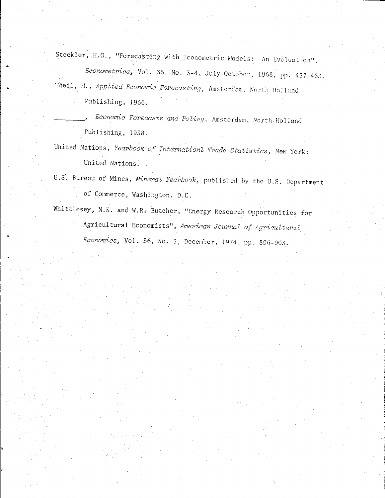Steckler, H.O., "Forecasting with Econometric Models: An Evaluation", Econometrica, Vol. 36, No. 3-4, July-October, 1968, pp. 437-463. Theil, H., Applied Economic Forecasting, Amsterdam. North Holland

Publishing, 1966.

Economic Forecasts and Policy, Amsterdam, North Holland Publishing, 1958.

United Nations, Yearbook of Internationl Trade Statistics, New York: United Nations.

U.S. Bureau of Mines, Mineral Yearbook, published by the U.S. Department of Commerce, Washington, D.C.

Whittlesey, N.K. and W.R. Butcher, "Energy Research Opportunities for Agricultural Economists", American Journal of Agricultural Economics, Vol. 56, No. 5, December. 1974, pp. 896-903.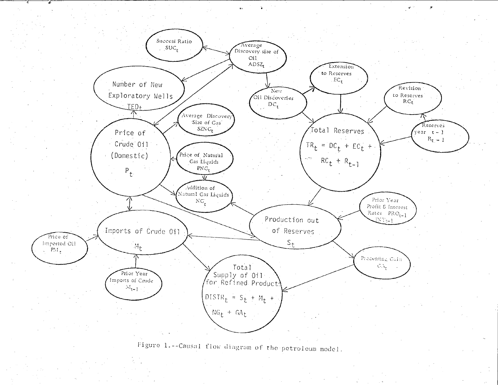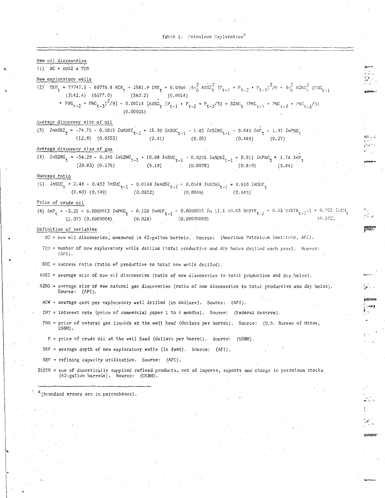- \_-\_-\_-\_:--\_-\_-\_---~---------

.t.--

 $t_{\rm max}$ *,,:.:* 

--

 $\sim$  $\frac{1}{2}$ 

*'i"· .* .

,.. ~. .·•

~ ;··.~, ,.\_

#### New oil discoveries

"·

·•

(1)  $DC = ADSZ \times TED$ 

#### New exploratory wells

- $(2)$  TED<sub>t</sub> = 77747.5 69778.8 ACW<sub>t</sub> 2581.9 INT<sub>t</sub> + 0.0066  $[4\sigma_0^2$  ADSZ<sub>t</sub> (P<sub>t-1</sub> + P<sub>t-2</sub> + P<sub>t-3</sub>)<sup>2</sup>/9 +  $4\sigma_G^2$  SZNG<sub>t</sub> (PNG<sub>t-1</sub>) (3142.4) (6577.0) (562.2) (0.0014)
	- + PNG<sub>t-2</sub> +  $PNG_{t-3}$ )<sup>2</sup>/9] 0.00114 [ADSZ<sub>t</sub> (P<sub>t-1</sub> + P<sub>t-2</sub> + P<sub>t-3</sub>/3) + SZNC<sub>t</sub> (PNC<sub>t-1</sub> + PNC<sub>t-2</sub> + PNC<sub>t-3</sub>/3] (0.00025)

#### Average discovery size of oil

(3)  $ln\text{ADS2}_t = -74.75 - 0.0815$   $ln\text{ADS2}_{t-1} + 15.30$   $ln\text{SUC}_{t-1} - 1.45$   $ln\text{SONC}_{t-1} - 0.441$   $ln\text{P}_t - 1.31$   $ln\text{ING}_{t}$ <br>(12.8)  $(0.0355)$  (2.41)  $(0.08)$  (0.449)  $(0.27)$  $(12.8)$   $(0.0353)$ 

#### Average discovery size of gas

(4)  $lnSZNG_t = -54.29 - 0.245$   $lnSZNG_{t-1} + 10.08$   $lnSUC_{t-1} - 0.0235$   $lnADS_{t-1} + 0.911$   $lnPNG_t + 1.74$   $lnP_t$  $(29.93) (0.176)$   $(5.19)$   $(0.0078)$   $(0.819)$   $(3.84)$ 

#### Success ratio

(5)  $lnSUC_t = 2.48 - 0.432 lnSUC_{t-1} - 0.0148 lnS/Z_{t-1} - 0.0148 lnS/Z_{t-1} + 0.610 lnS/C_{t-1}$  $(0.60)$   $(0.140)$   $(0.0022)$   $(0.0046)$   $(0.043)$ 

#### Price of crude oil

(6)  $lnP_t = -5.25 + 0.0000013$   $lnPNG_t - 0.120$   $lnREF_{t-1} + 0.0000015$   $ln$  [1.1 (0.65 01STR<sub>t-1</sub> + 0.35 DISTR<sub>t-2</sub>)] + 0.702  $L:PI_{t}$  $(1.07)$   $(0.0000008)$   $(0.028)$   $(0.00000008)$ 

#### Definition of variables

DC = new oil discoveries,' measured in 42-gallon barrels. Source: (American Petroleum Institute, API).

TED  $=$  number of new exploratory wells drilled (total productive and dry holes drilled each year). Source: (APl) .

SUC = success ratio (ratio of productive to total new wells drilled).

ADSZ = average size of new oil discoveries (ratio of new discoveries to total productive and dry holes).

- SZNG = average size of new natural gas discoveries (ratio of new discoveries to total productive and dry holes). Source: (API).
- ACW average cost per exploratory well drilled (in dollars). Source: '(API).

INT = interest rate (price of commercial paper 1 to 6 months). Source: (Federal Reserve).

- PNG = price of natural gas liquids at the well head (dollars per barrel), Source: (U.S. Bureau of Mines, USBM).
- P = price of crude oil at the well head (dollars per barrel). Source: (USBM).

DEP = average depth of new exploratory wells (in feet). Source: (API).

REF = refining capacity utilization. Source: (API).

DISTR = sum of domestically supplied refined products, net of imports, exports and change in petroleum stocks (42-gallon barrels). Source: (USBM).

 $a$ (Standard errors arc in parentheses).

I.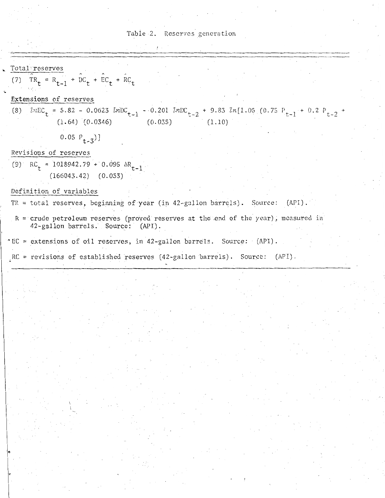

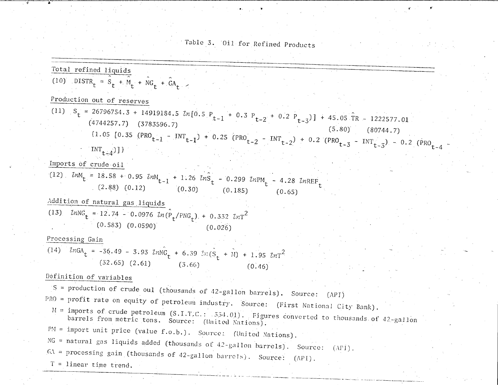Table 3. Oil for Refined Products

 $\mathbf{r} \in \mathbb{R}^{N \times N}$  . If

Total refined liquids (10) DISTR<sub>t</sub> =  $S_t$  + M<sub>t</sub> + NG<sub>t</sub> + GA<sub>t</sub> , Production out of reserves (11)  $S_t = 26796754.3 + 14919184.5$   $ln[0.5$   $P_{t-1}$  + 0.3  $P_{t-2}$  + 0.2  $P_{t-3}$ ] + 45.05 TR - 1222577.01  $(4744257.7)$   $(3783596.7)$  (5.80) (80744.7)  ${\rm TNT}$  (1.05 [0.35 (PRO<sub>t-1</sub> - INT<sub>t-1</sub>) + 0.25 (PRO<sub>t-2</sub> - INT<sub>t-2</sub>) + 0.2 (PRO<sub>t-3</sub> - INT<sub>t-3</sub> ) = 0.2 (PPO $\sqrt{ }$ 4  $INT_{t-4})$ ]} Imports *bf* crude oil  $(12)$   $\ell m_{\rm t}$  = 18.58 + 0.95  $\ell m_{\rm t}$  + 1.26  $\ell n \hat{S}$  $(2.88)$   $(0.12)$   $(0.30)$ Addition of natural gas liquids 0.299 *ln*PM<sub>t</sub> - 4.28 *lnREF* (0.185) (13) *LnNG* = 12.74 - 0.0976  $ln(P_t/PNG_t)$ . + 0.332  $LnT^2$  $(0.583)$   $(0.0590)$   $(0.026)$ Processing Gain (0.65)  $\begin{aligned} \text{(14)} \quad \text{lnGA}_{t} = -36.49 - 3.93 \quad \text{lnNG}_{t} + 6.39 \quad \text{ln(G}_{t} + M) + 1.95 \quad \text{lnT}^2. \end{aligned}$  $(32.65)$   $(2.61)$   $(3.66)$   $(0.46)$ Definition of variables S = production of crude oul (thousands of 42-gallon barrels). Source: (APT) PRO = profit rate on equity of petroleum industry. Source: (First National City Bank). It = imports of crude petroleum (S.I.T,C.: : 354.01). Figures converted to thousands of 42-gallon barrels from metric tons. Source: (United Nations). PM = import unit price (value f.o.b.). Source: (United Nations). NG = natural gas liquids added (thousands of 42-gallon barrels). Source:  $(APJ)$ .  $G\Lambda$  = processing gain (thousands of 42-gallon barrels). Source: (API).  $T = 1$ inear time trend. المراد المستخدمة المستخدمة المستخدمة المستخدمة المستخدمة المستخدمة.<br>والمستخدمة المستخدمة المستخدمة المستخدمة المستخدمة المستخدمة المستخدمة المستخدمة المستخدمة المستخدمة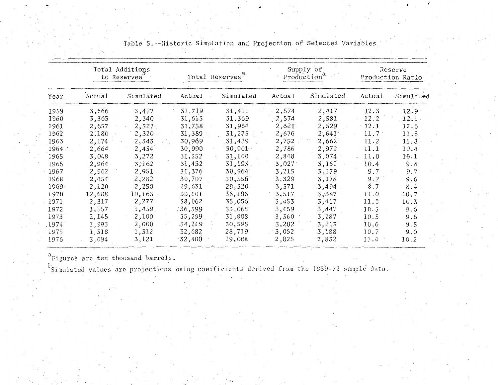|       | Total Additions<br>to Reserves <sup>a</sup> |           | Total Reserves |           | Supply of<br>Production <sup>a</sup> |           | Reserve<br>Production Ratio |           |
|-------|---------------------------------------------|-----------|----------------|-----------|--------------------------------------|-----------|-----------------------------|-----------|
| Year  | Actual                                      | Simulated | Actual         | Simulated | Actual                               | Simulated | Actual                      | Simulated |
| 1959  | 3,666                                       | 3,427     | 31,719         | 31,411    | 2,574                                | 2,417     | 12.3                        | 12.9      |
| 1960  | 3,365                                       | 2,340     | 31,613         | 31,369    | $-2,574$                             | 2,581     | 12.2                        | 12.1      |
| 1961  | 2,657                                       | 2,527     | 31,758         | 31,954    | 2,621                                | 2,529     | 12.1                        | 12.6      |
| 1962  | 2,180                                       | 2,320     | 31,389         | 31,275    | 2,676                                | 2,641     | 11.7                        | 11.8      |
| 1963  | 2,174                                       | 2,343     | 30,969         | 31,439    | 2,752                                | 2,662     | 11.2                        | 11.8      |
| 1964  | 2,664                                       | 2,434     | 30,990         | 30,901    | 2,786                                | 2,972     | 11.1                        | 10.4      |
| 1965  | 3,048                                       | 3,272     | 31,352         | 31,100    | 2,848                                | 3,074     | 11.0                        | 10.1      |
| 1966  | $2,964$ .                                   | 3,162     | 31,452         | 31,193    | 3,027                                | 3,169     | 10.4                        | 9.8       |
| 1967  | 2,962                                       | 2,951     | 31,376         | 30,964    | 3,215                                | 3,179     | 9.7                         | 9.7       |
| 1968  | 2,454                                       | 2,282     | 30,707         | 30,556    | 3,329                                | 3,178     | 9.2                         | 9.6       |
| 1969. | 2,120                                       | 2,258     | 29,631         | 29,320    | 3,371                                | 3,494     | 8.7                         | 8.4       |
| 1970  | 12,688                                      | 10,163    | 39,001         | 36,196    | 3,517                                | 3,387     | 11.0                        | 10.7      |
| 1971  | 2,317                                       | 2,277     | 38,062         | 35,056    | 3,453                                | 3,417     | 11.0                        | 10.3      |
| 1972  | 1,557                                       | 1,459.    | $-36,399$      | 33,068    | 3,459                                | 3,447     | 10.5                        | 9.6       |
| 1973  | 2,145                                       | 2,100     | 35,299         | 31,808    | 3,360                                | 3,287     | 10.5                        | 9.6       |
| :1974 | 1,993                                       | 2,000     | $-34,249$      | 30,595    | 3,202                                | 3,213     | 10.6                        | 9.5       |
| 1975  | 1,318                                       | 1,312     | 32,682         | 28,719    | 3,052                                | 3,188     | 10.7                        | 9.0       |
| 1976  | 5,094                                       | 3,121     | $-32,400$      | 29,008    | 2,825                                | 2,832     | 11.4                        | 10.2      |

Table 5.--Historic Simulation and Projection of Selected Variables

<sup>a</sup>Figures are ten thousand barrels.

b<sub>Simulated</sub> values are projections using coefficients derived from the 1959-72 sample data.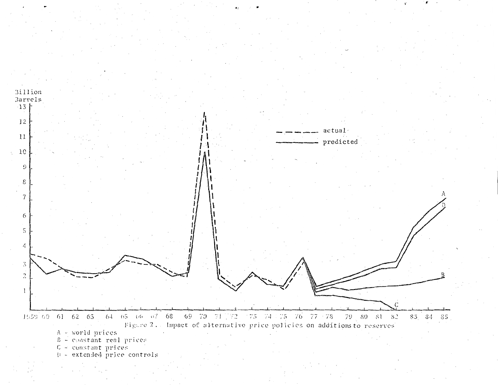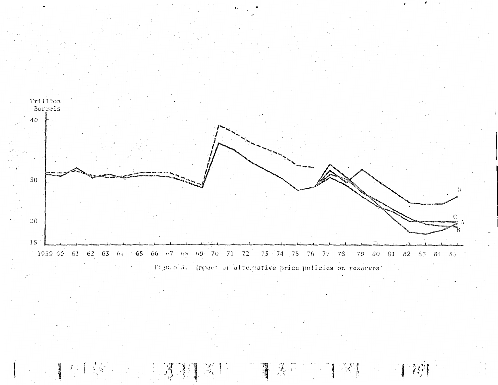

 $\mathbb{R}^n$ 

 $\mathbb{Z}_\ell^{\mathbb{Z}}$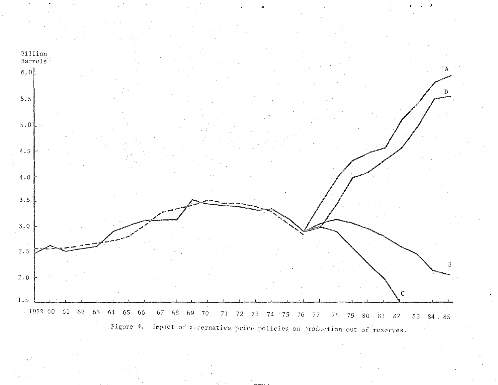![](_page_31_Figure_0.jpeg)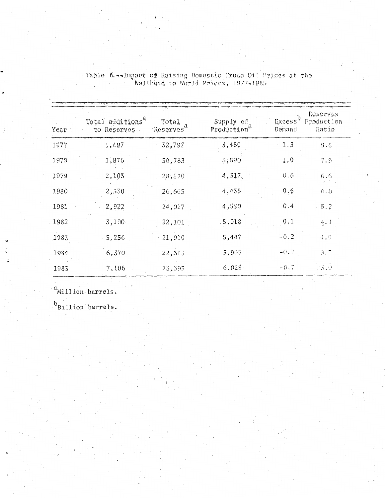| Year | Total additions <sup>a</sup><br>Total<br>to Reserves.<br>Reserves | Supply of<br>Production" | Excessb<br>Demand | Reserves<br>Production<br>Ratio |
|------|-------------------------------------------------------------------|--------------------------|-------------------|---------------------------------|
| 1977 | 1,497<br>32,797                                                   | 3,450                    | 1.3               | 9.5                             |
| 1978 | 1,876<br>30,783                                                   | 3,890                    | 1,0               | 7.9                             |
| 1979 | 2,103<br>28,570                                                   | 4,317                    | 0.6               | 6, 6                            |
| 1980 | 2,530<br>26,665                                                   | 4,435                    | 0.6               | (0, 0)                          |
| 1981 | 2,922<br>24,017                                                   | 4,590                    | 0,4               | $-5.2$                          |
| 1982 | .3,100<br>22,101                                                  | .5,018                   | 0,1               | 4.1                             |
| 1983 | $-5,256$<br>21,910                                                | 5,447                    | $-0.2$            | , 4.0                           |
| 1984 | 22,315<br>6,370                                                   | 5,965                    | $-0.7$            | $\bar{\beta}$ .                 |
| 1985 | 7,106<br>23,393                                                   | 6,028                    | $-0.7$            | $\binom{7}{2}$ , ()             |

Table 6 -- Impact of Raising Domestic Crude Oil Prices at the Wellhead to World Prices, 1977-1985

 $a$ Million barrels.

 ${\rm ^{b}}_{\rm Billion}$  barrels.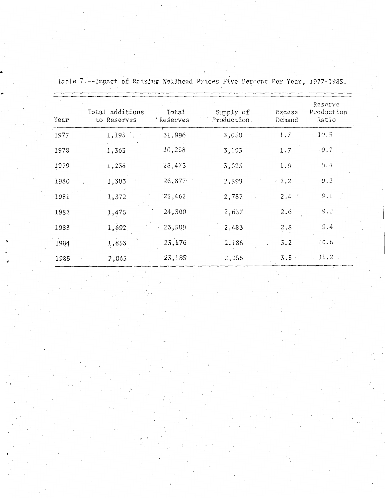| Year | Total additions<br>to Reserves | Total<br>Reserves | Supply of<br>Production. | Excess<br>Demand | Reserve<br>Production<br>Ratio |
|------|--------------------------------|-------------------|--------------------------|------------------|--------------------------------|
| 1977 | 1,195                          | 31,996            | 3,050                    | 1.7              | $-10.5$                        |
| 1978 | 1,365                          | 30,258            | 3,105                    | 1.7              | $-9.7$                         |
| 1979 | 1,238                          | 28,473            | 3,023                    | 1.9              | 9.4                            |
| 1980 | 1,303                          | 26,877            | 2,899                    | 2.2              | $\cdot$ 3.2                    |
| 1981 | 1,372                          | 25,462            | 2,787                    | 2.4              | 9.1                            |
| 1982 | 1,475                          | 24,300            | 2,637                    | 2.6              | 9.2                            |
| 1983 | 1,692                          | 23,509            | 2,483                    | 2.8              | 9.4                            |
| 1984 | 1,853                          | 23,176            | 2,186                    | 3.2              | 10.6                           |
| 1985 | 2,065                          | 23,185            | 2,056                    | 3.5              | 11,2                           |

Table 7.--Impact of Raising Wellhead Prices Five Percent Per Year, 1977-1985.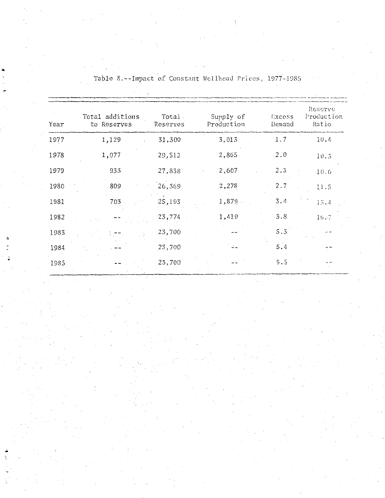| Year  | Total additions<br>to Reserves | Total.<br>Reserves | Supply of<br>Production | Excess<br>Demand | Reserve<br>Production<br>Ratio |
|-------|--------------------------------|--------------------|-------------------------|------------------|--------------------------------|
| 1977  | 1,129                          | 31,300             | 3,013                   | 1.7              | 10.4                           |
| 1978  | 1,077                          | 29,512             | 2,865                   | 2.0              | 10.5                           |
| 1979  | 933                            | 27,838             | 2,607                   | $2.3^{\circ}$    | 10.6                           |
| 1980  | 809                            | 26,369             | 2,278                   | 2.7              | 11.5                           |
| 1981  | 7.03                           | 25,193             | 1,879                   | 3.4              | 15.4                           |
| 1982  |                                | 23,774             | 1,419                   | 3.8              | 16.7                           |
| 1983  |                                | 23,700             |                         | 5.3              |                                |
| 1984  |                                | 23,700             |                         | 5.4              | п.                             |
| 1985. |                                | 23,700             |                         | 5.5              |                                |

Table 8.--Impact of Constant Wellhead Prices, 1977-1985